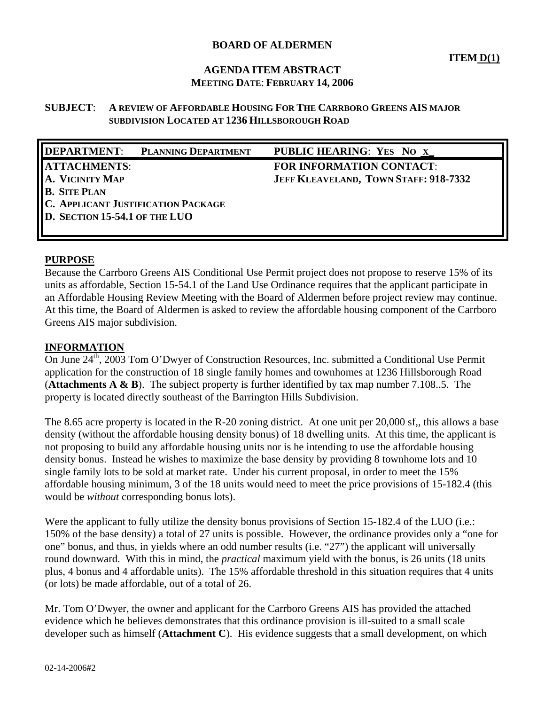# **BOARD OF ALDERMEN**

# **AGENDA ITEM ABSTRACT MEETING DATE**: **FEBRUARY 14, 2006**

### **SUBJECT**: **A REVIEW OF AFFORDABLE HOUSING FOR THE CARRBORO GREENS AIS MAJOR SUBDIVISION LOCATED AT 1236 HILLSBOROUGH ROAD**

| DEPARTMENT: PLANNING DEPARTMENT           | <b>PUBLIC HEARING: YES NO X</b>       |
|-------------------------------------------|---------------------------------------|
| <b>ATTACHMENTS:</b>                       | <b>FOR INFORMATION CONTACT:</b>       |
| A. VICINITY MAP                           | JEFF KLEAVELAND, TOWN STAFF: 918-7332 |
| <b>B.</b> SITE PLAN                       |                                       |
| <b>C. APPLICANT JUSTIFICATION PACKAGE</b> |                                       |
| D. SECTION 15-54.1 OF THE LUO             |                                       |
|                                           |                                       |

### **PURPOSE**

Because the Carrboro Greens AIS Conditional Use Permit project does not propose to reserve 15% of its units as affordable, Section 15-54.1 of the Land Use Ordinance requires that the applicant participate in an Affordable Housing Review Meeting with the Board of Aldermen before project review may continue. At this time, the Board of Aldermen is asked to review the affordable housing component of the Carrboro Greens AIS major subdivision.

#### **INFORMATION**

On June 24<sup>th</sup>, 2003 Tom O'Dwyer of Construction Resources, Inc. submitted a Conditional Use Permit application for the construction of 18 single family homes and townhomes at 1236 Hillsborough Road (**Attachments A & B**). The subject property is further identified by tax map number 7.108..5. The property is located directly southeast of the Barrington Hills Subdivision.

The 8.65 acre property is located in the R-20 zoning district. At one unit per 20,000 sf,, this allows a base density (without the affordable housing density bonus) of 18 dwelling units. At this time, the applicant is not proposing to build any affordable housing units nor is he intending to use the affordable housing density bonus. Instead he wishes to maximize the base density by providing 8 townhome lots and 10 single family lots to be sold at market rate. Under his current proposal, in order to meet the 15% affordable housing minimum, 3 of the 18 units would need to meet the price provisions of 15-182.4 (this would be *without* corresponding bonus lots).

Were the applicant to fully utilize the density bonus provisions of Section 15-182.4 of the LUO (i.e.: 150% of the base density) a total of 27 units is possible. However, the ordinance provides only a "one for one" bonus, and thus, in yields where an odd number results (i.e. "27") the applicant will universally round downward. With this in mind, the *practical* maximum yield with the bonus, is 26 units (18 units plus, 4 bonus and 4 affordable units). The 15% affordable threshold in this situation requires that 4 units (or lots) be made affordable, out of a total of 26.

Mr. Tom O'Dwyer, the owner and applicant for the Carrboro Greens AIS has provided the attached evidence which he believes demonstrates that this ordinance provision is ill-suited to a small scale developer such as himself (**Attachment C**). His evidence suggests that a small development, on which